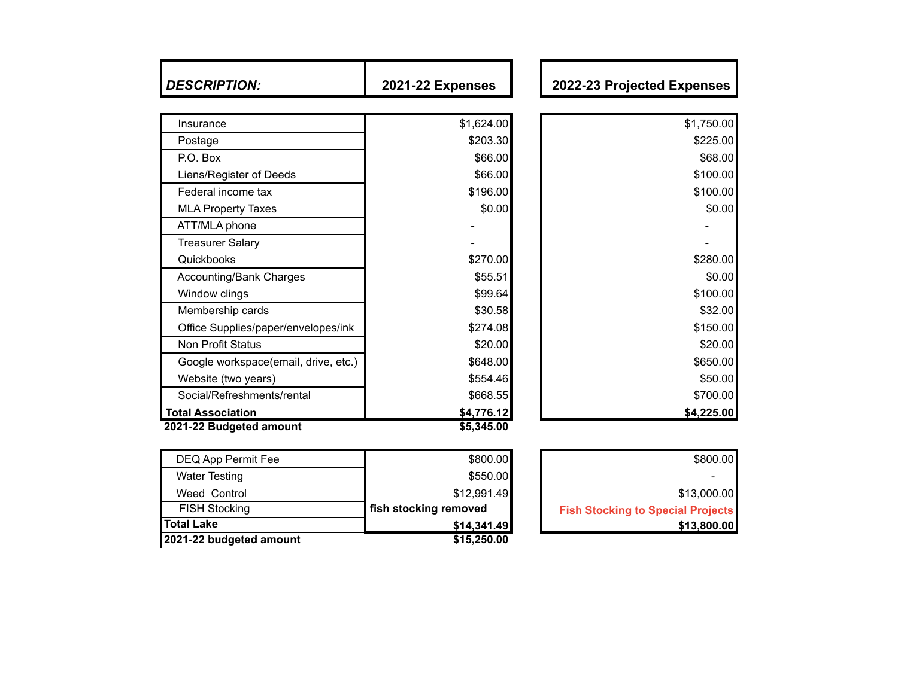| <b>DESCRIPTION:</b>                  | <b>2021-22 Expenses</b> | 2022-23 Projected Expenses |
|--------------------------------------|-------------------------|----------------------------|
|                                      |                         |                            |
| Insurance                            | \$1,624.00              | \$1,750.00                 |
| Postage                              | \$203.30                | \$225.00                   |
| P.O. Box                             | \$66.00                 | \$68.00                    |
| Liens/Register of Deeds              | \$66.00                 | \$100.00                   |
| Federal income tax                   | \$196.00                | \$100.00                   |
| <b>MLA Property Taxes</b>            | \$0.00                  | \$0.00                     |
| ATT/MLA phone                        |                         |                            |
| <b>Treasurer Salary</b>              |                         |                            |
| Quickbooks                           | \$270.00                | \$280.00                   |
| <b>Accounting/Bank Charges</b>       | \$55.51                 | \$0.00                     |
| Window clings                        | \$99.64                 | \$100.00                   |
| Membership cards                     | \$30.58                 | \$32.00                    |
| Office Supplies/paper/envelopes/ink  | \$274.08                | \$150.00                   |
| Non Profit Status                    | \$20.00                 | \$20.00                    |
| Google workspace(email, drive, etc.) | \$648.00                | \$650.00                   |
| Website (two years)                  | \$554.46                | \$50.00                    |
| Social/Refreshments/rental           | \$668.55                | \$700.00                   |
| <b>Total Association</b>             | \$4,776.12              | \$4,225.00                 |

| 2021-22 budgeted amount | \$15,250.00           |                                          |
|-------------------------|-----------------------|------------------------------------------|
| <b>Total Lake</b>       | \$14,341.49           | \$13,800.00                              |
| <b>FISH Stocking</b>    | fish stocking removed | <b>Fish Stocking to Special Projects</b> |
| Weed Control            | \$12,991.49           | \$13,000.00                              |
| <b>Water Testing</b>    | \$550.00              |                                          |
| DEQ App Permit Fee      | \$800.00              | \$800.00                                 |

| \$800.00                                 |
|------------------------------------------|
|                                          |
| \$13,000.00                              |
| <b>Fish Stocking to Special Projects</b> |
| \$13,800.00                              |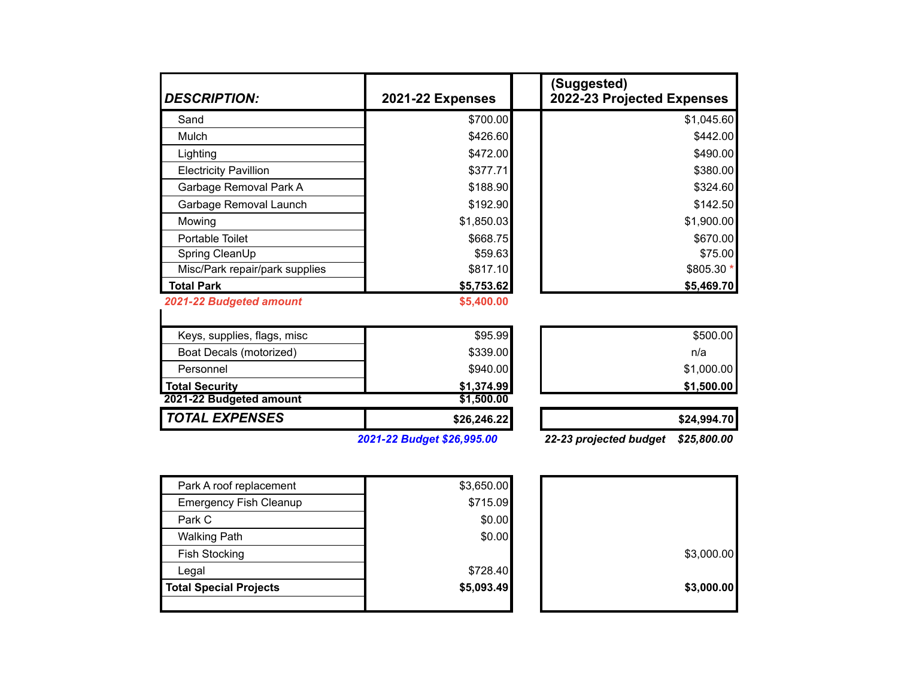| <b>DESCRIPTION:</b>            | <b>2021-22 Expenses</b>    | (Suggested)<br>2022-23 Projected Expenses |
|--------------------------------|----------------------------|-------------------------------------------|
| Sand                           | \$700.00                   | \$1,045.60                                |
| Mulch                          | \$426.60                   | \$442.00                                  |
| Lighting                       | \$472.00                   | \$490.00                                  |
| <b>Electricity Pavillion</b>   | \$377.71                   | \$380.00                                  |
| Garbage Removal Park A         | \$188.90                   | \$324.60                                  |
| Garbage Removal Launch         | \$192.90                   | \$142.50                                  |
| Mowing                         | \$1,850.03                 | \$1,900.00                                |
| Portable Toilet                | \$668.75                   | \$670.00                                  |
| Spring CleanUp                 | \$59.63                    | \$75.00                                   |
| Misc/Park repair/park supplies | \$817.10                   | \$805.30 *                                |
| <b>Total Park</b>              | \$5,753.62                 | \$5,469.70                                |
| 2021-22 Budgeted amount        | \$5,400.00                 |                                           |
| Keys, supplies, flags, misc    | \$95.99                    | \$500.00                                  |
| Boat Decals (motorized)        | \$339.00                   | n/a                                       |
| Personnel                      | \$940.00                   | \$1,000.00                                |
| <b>Total Security</b>          | \$1,374.99                 | \$1,500.00                                |
| 2021-22 Budgeted amount        | \$1,500.00                 |                                           |
| <b>TOTAL EXPENSES</b>          | \$26,246.22                | \$24,994.70                               |
|                                | 2021-22 Budget \$26,995.00 | 22-23 projected budget<br>\$25,800.00     |

| <b>Total Special Projects</b> | \$5,093.49 | \$3,000.00 |
|-------------------------------|------------|------------|
| Legal                         | \$728.40   |            |
| <b>Fish Stocking</b>          |            | \$3,000.00 |
| <b>Walking Path</b>           | \$0.00     |            |
| Park C                        | \$0.00     |            |
| <b>Emergency Fish Cleanup</b> | \$715.09   |            |
| Park A roof replacement       | \$3,650.00 |            |

|  | \$3,000.00 |
|--|------------|
|  | \$3,000.00 |
|  |            |